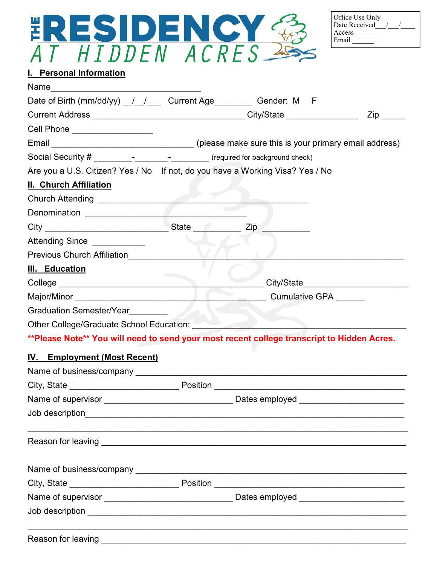

| Office Use Only<br>Date Received |  |  |
|----------------------------------|--|--|
| Access<br>Email                  |  |  |

## **I. Personal Information**

| Date of Birth (mm/dd/yy) _/ _/ __ Current Age _________ Gender: M F                                                                                                                                                                  |                |                     |
|--------------------------------------------------------------------------------------------------------------------------------------------------------------------------------------------------------------------------------------|----------------|---------------------|
|                                                                                                                                                                                                                                      |                | $\mathsf{Zip} \_\_$ |
| Cell Phone ___________________                                                                                                                                                                                                       |                |                     |
| Email __________________________________(please make sure this is your primary email address)                                                                                                                                        |                |                     |
| Social Security # ________________________________ (required for background check)                                                                                                                                                   |                |                     |
| Are you a U.S. Citizen? Yes / No If not, do you have a Working Visa? Yes / No                                                                                                                                                        |                |                     |
| <b>II. Church Affiliation</b>                                                                                                                                                                                                        |                |                     |
| Church Attending _________________________                                                                                                                                                                                           |                |                     |
|                                                                                                                                                                                                                                      |                |                     |
|                                                                                                                                                                                                                                      | $Zip \_$       |                     |
| Attending Since Attending                                                                                                                                                                                                            |                |                     |
| Previous Church Affiliation                                                                                                                                                                                                          |                |                     |
| <b>III.</b> Education                                                                                                                                                                                                                |                |                     |
| College <u>______________________________</u>                                                                                                                                                                                        |                |                     |
|                                                                                                                                                                                                                                      |                |                     |
| <b>Graduation Semester/Year</b>                                                                                                                                                                                                      |                |                     |
| Other College/Graduate School Education:                                                                                                                                                                                             |                |                     |
| **Please Note** You will need to send your most recent college transcript to Hidden Acres.                                                                                                                                           |                |                     |
| <b>IV.</b> Employment (Most Recent)                                                                                                                                                                                                  |                |                     |
|                                                                                                                                                                                                                                      |                |                     |
|                                                                                                                                                                                                                                      |                |                     |
| Name of supervisor _                                                                                                                                                                                                                 | Dates employed |                     |
| Job description <b>contract to the contract of the contract of the contract of the contract of the contract of the contract of the contract of the contract of the contract of the contract of the contract of the contract of t</b> |                |                     |
|                                                                                                                                                                                                                                      |                |                     |
|                                                                                                                                                                                                                                      |                |                     |
|                                                                                                                                                                                                                                      |                |                     |
|                                                                                                                                                                                                                                      |                |                     |
|                                                                                                                                                                                                                                      |                |                     |
|                                                                                                                                                                                                                                      |                |                     |
|                                                                                                                                                                                                                                      |                |                     |
|                                                                                                                                                                                                                                      |                |                     |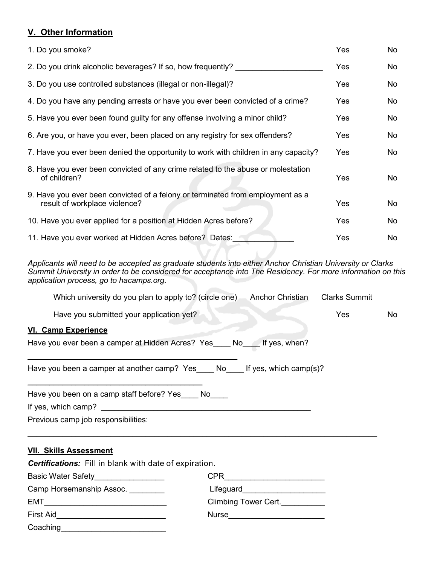### **V. Other Information**

| 1. Do you smoke?                                                                                                | Yes | No |
|-----------------------------------------------------------------------------------------------------------------|-----|----|
| 2. Do you drink alcoholic beverages? If so, how frequently?                                                     | Yes | No |
| 3. Do you use controlled substances (illegal or non-illegal)?                                                   | Yes | No |
| 4. Do you have any pending arrests or have you ever been convicted of a crime?                                  | Yes | No |
| 5. Have you ever been found guilty for any offense involving a minor child?                                     | Yes | No |
| 6. Are you, or have you ever, been placed on any registry for sex offenders?                                    | Yes | No |
| 7. Have you ever been denied the opportunity to work with children in any capacity?                             | Yes | No |
| 8. Have you ever been convicted of any crime related to the abuse or molestation<br>of children?                | Yes | No |
| 9. Have you ever been convicted of a felony or terminated from employment as a<br>result of workplace violence? | Yes | No |
| 10. Have you ever applied for a position at Hidden Acres before?                                                | Yes | No |
| 11. Have you ever worked at Hidden Acres before? Dates:                                                         | Yes | No |

*Applicants will need to be accepted as graduate students into either Anchor Christian University or Clarks Summit University in order to be considered for acceptance into The Residency. For more information on this application process, go to hacamps.org.*

| Which university do you plan to apply to? (circle one)<br><b>Anchor Christian</b> | <b>Clarks Summit</b> |    |
|-----------------------------------------------------------------------------------|----------------------|----|
| Have you submitted your application yet?                                          | Yes                  | No |
| VI. Camp Experience                                                               |                      |    |
| Have you ever been a camper at Hidden Acres? Yes No<br>If yes, when?              |                      |    |
| Have you been a camper at another camp? Yes No<br>If yes, which camp(s)?          |                      |    |
| Have you been on a camp staff before? Yes<br>No                                   |                      |    |
| If yes, which camp?                                                               |                      |    |
| Previous camp job responsibilities:                                               |                      |    |

 $\mathcal{L}_\mathcal{L} = \mathcal{L}_\mathcal{L} = \mathcal{L}_\mathcal{L} = \mathcal{L}_\mathcal{L} = \mathcal{L}_\mathcal{L} = \mathcal{L}_\mathcal{L} = \mathcal{L}_\mathcal{L} = \mathcal{L}_\mathcal{L} = \mathcal{L}_\mathcal{L} = \mathcal{L}_\mathcal{L} = \mathcal{L}_\mathcal{L} = \mathcal{L}_\mathcal{L} = \mathcal{L}_\mathcal{L} = \mathcal{L}_\mathcal{L} = \mathcal{L}_\mathcal{L} = \mathcal{L}_\mathcal{L} = \mathcal{L}_\mathcal{L}$ 

#### **VII. Skills Assessment**

*Certifications:* Fill in blank with date of expiration. Basic Water Safety\_\_\_\_\_\_\_\_\_\_\_\_\_\_\_\_ CPR\_\_\_\_\_\_\_\_\_\_\_\_\_\_\_\_\_\_\_\_\_\_\_ Camp Horsemanship Assoc. \_\_\_\_\_\_\_\_ Lifeguard\_\_\_\_\_\_\_\_\_\_\_\_\_\_\_\_\_\_\_ EMT EMT EMT First Aid\_\_\_\_\_\_\_\_\_\_\_\_\_\_\_\_\_\_\_\_\_\_\_\_\_ Nurse\_\_\_\_\_\_\_\_\_\_\_\_\_\_\_\_\_\_\_\_\_\_ Coaching\_\_\_\_\_\_\_\_\_\_\_\_\_\_\_\_\_\_\_\_\_\_\_\_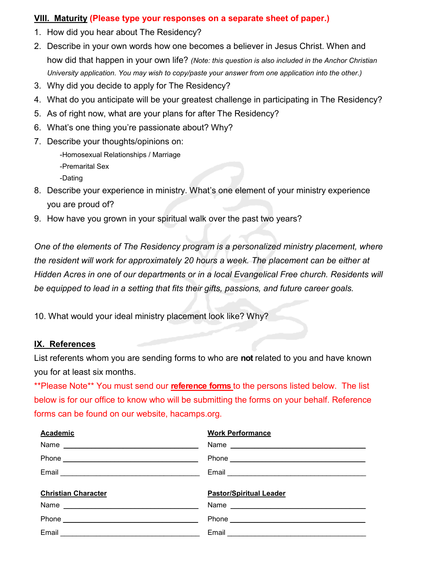#### **VIII. Maturity (Please type your responses on a separate sheet of paper.)**

- 1. How did you hear about The Residency?
- 2. Describe in your own words how one becomes a believer in Jesus Christ. When and how did that happen in your own life? *(Note: this question is also included in the Anchor Christian University application. You may wish to copy/paste your answer from one application into the other.)*
- 3. Why did you decide to apply for The Residency?
- 4. What do you anticipate will be your greatest challenge in participating in The Residency?
- 5. As of right now, what are your plans for after The Residency?
- 6. What's one thing you're passionate about? Why?
- 7. Describe your thoughts/opinions on:

-Homosexual Relationships / Marriage

-Premarital Sex

-Dating

- 8. Describe your experience in ministry. What's one element of your ministry experience you are proud of?
- 9. How have you grown in your spiritual walk over the past two years?

*One of the elements of The Residency program is a personalized ministry placement, where the resident will work for approximately 20 hours a week. The placement can be either at Hidden Acres in one of our departments or in a local Evangelical Free church. Residents will be equipped to lead in a setting that fits their gifts, passions, and future career goals.*

10. What would your ideal ministry placement look like? Why?

### **IX. References**

List referents whom you are sending forms to who are **not** related to you and have known you for at least six months.

\*\*Please Note\*\* You must send our **reference forms** to the persons listed below. The list below is for our office to know who will be submitting the forms on your behalf. Reference forms can be found on our website, hacamps.org.

| <b>Academic</b>            | <b>Work Performance</b>                                                                                                                                                                                                        |
|----------------------------|--------------------------------------------------------------------------------------------------------------------------------------------------------------------------------------------------------------------------------|
|                            | Name                                                                                                                                                                                                                           |
|                            | Phone experience and the state of the state of the state of the state of the state of the state of the state of the state of the state of the state of the state of the state of the state of the state of the state of the st |
|                            |                                                                                                                                                                                                                                |
|                            |                                                                                                                                                                                                                                |
| <b>Christian Character</b> | <b>Pastor/Spiritual Leader</b>                                                                                                                                                                                                 |
|                            |                                                                                                                                                                                                                                |
|                            |                                                                                                                                                                                                                                |